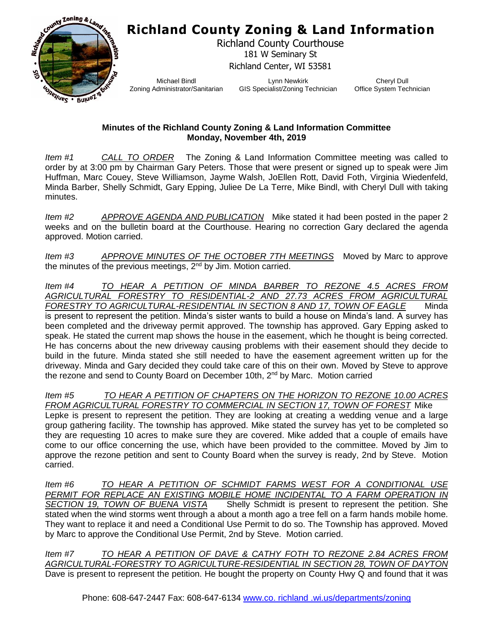## **Richland County Zoning & Land Information**



Richland County Courthouse 181 W Seminary St Richland Center, WI 53581

Michael Bindl Zoning Administrator/Sanitarian

Lynn Newkirk GIS Specialist/Zoning Technician

Cheryl Dull Office System Technician

## **Minutes of the Richland County Zoning & Land Information Committee Monday, November 4th, 2019**

*Item #1 CALL TO ORDER* The Zoning & Land Information Committee meeting was called to order by at 3:00 pm by Chairman Gary Peters. Those that were present or signed up to speak were Jim Huffman, Marc Couey, Steve Williamson, Jayme Walsh, JoEllen Rott, David Foth, Virginia Wiedenfeld, Minda Barber, Shelly Schmidt, Gary Epping, Juliee De La Terre, Mike Bindl, with Cheryl Dull with taking minutes.

*Item #2 APPROVE AGENDA AND PUBLICATION* Mike stated it had been posted in the paper 2 weeks and on the bulletin board at the Courthouse. Hearing no correction Gary declared the agenda approved. Motion carried.

*Item #3 APPROVE MINUTES OF THE OCTOBER 7TH MEETINGS* Moved by Marc to approve the minutes of the previous meetings,  $2<sup>nd</sup>$  by Jim. Motion carried.

*Item #4 TO HEAR A PETITION OF MINDA BARBER TO REZONE 4.5 ACRES FROM AGRICULTURAL FORESTRY TO RESIDENTIAL-2 AND 27.73 ACRES FROM AGRICULTURAL FORESTRY TO AGRICULTURAL-RESIDENTIAL IN SECTION 8 AND 17, TOWN OF EAGLE* Minda is present to represent the petition. Minda's sister wants to build a house on Minda's land. A survey has been completed and the driveway permit approved. The township has approved. Gary Epping asked to speak. He stated the current map shows the house in the easement, which he thought is being corrected. He has concerns about the new driveway causing problems with their easement should they decide to build in the future. Minda stated she still needed to have the easement agreement written up for the driveway. Minda and Gary decided they could take care of this on their own. Moved by Steve to approve the rezone and send to County Board on December 10th, 2<sup>nd</sup> by Marc. Motion carried

*Item #5 TO HEAR A PETITION OF CHAPTERS ON THE HORIZON TO REZONE 10.00 ACRES FROM AGRICULTURAL FORESTRY TO COMMERCIAL IN SECTION 17, TOWN OF FOREST* Mike Lepke is present to represent the petition. They are looking at creating a wedding venue and a large group gathering facility. The township has approved. Mike stated the survey has yet to be completed so they are requesting 10 acres to make sure they are covered. Mike added that a couple of emails have come to our office concerning the use, which have been provided to the committee. Moved by Jim to approve the rezone petition and sent to County Board when the survey is ready, 2nd by Steve. Motion carried.

*Item #6 TO HEAR A PETITION OF SCHMIDT FARMS WEST FOR A CONDITIONAL USE*  PERMIT FOR REPLACE AN EXISTING MOBILE HOME INCIDENTAL TO A FARM OPERATION IN *SECTION 19, TOWN OF BUENA VISTA* Shelly Schmidt is present to represent the petition. She stated when the wind storms went through a about a month ago a tree fell on a farm hands mobile home. They want to replace it and need a Conditional Use Permit to do so. The Township has approved. Moved by Marc to approve the Conditional Use Permit, 2nd by Steve. Motion carried.

*Item #7 TO HEAR A PETITION OF DAVE & CATHY FOTH TO REZONE 2.84 ACRES FROM AGRICULTURAL-FORESTRY TO AGRICULTURE-RESIDENTIAL IN SECTION 28, TOWN OF DAYTON* Dave is present to represent the petition. He bought the property on County Hwy Q and found that it was